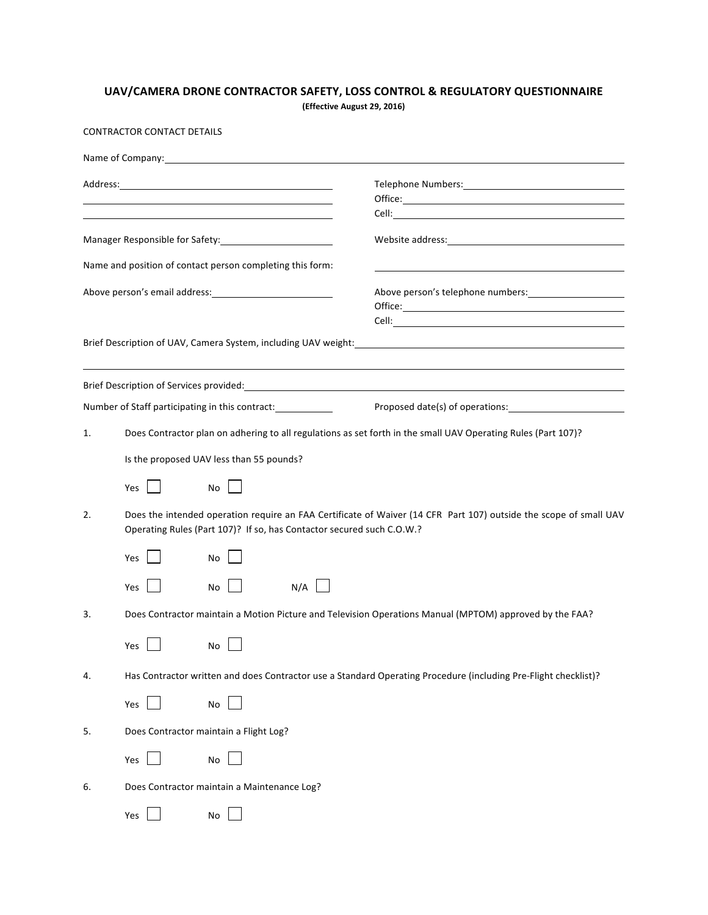## UAV/CAMERA DRONE CONTRACTOR SAFETY, LOSS CONTROL & REGULATORY QUESTIONNAIRE

**(Effective August 29, 2016)**

CONTRACTOR CONTACT DETAILS

| Manager Responsible for Safety: Manager Responsible for Safety: |                                                                                                                                                                                            |                                                                                                                                                                                                                                        |     |                                                                                                                    |  |
|-----------------------------------------------------------------|--------------------------------------------------------------------------------------------------------------------------------------------------------------------------------------------|----------------------------------------------------------------------------------------------------------------------------------------------------------------------------------------------------------------------------------------|-----|--------------------------------------------------------------------------------------------------------------------|--|
|                                                                 |                                                                                                                                                                                            | Name and position of contact person completing this form:                                                                                                                                                                              |     |                                                                                                                    |  |
|                                                                 |                                                                                                                                                                                            | Above person's email address:<br><u>Letter and the set of the set of the set of the set of the set of the set of the set of the set of the set of the set of the set of the set of the set of the set of the set of the set of the</u> |     | Above person's telephone numbers: 1999 and 2009<br>$Office: \_\_$                                                  |  |
|                                                                 |                                                                                                                                                                                            | Brief Description of UAV, Camera System, including UAV weight:                                                                                                                                                                         |     | <u> 1989 - John Stone, amerikansk politiker (d. 1989)</u>                                                          |  |
|                                                                 |                                                                                                                                                                                            |                                                                                                                                                                                                                                        |     | Brief Description of Services provided: National Communication of Services and Communication of Services provided: |  |
| Number of Staff participating in this contract:                 |                                                                                                                                                                                            |                                                                                                                                                                                                                                        |     |                                                                                                                    |  |
| 1.                                                              | Does Contractor plan on adhering to all regulations as set forth in the small UAV Operating Rules (Part 107)?                                                                              |                                                                                                                                                                                                                                        |     |                                                                                                                    |  |
|                                                                 | Is the proposed UAV less than 55 pounds?                                                                                                                                                   |                                                                                                                                                                                                                                        |     |                                                                                                                    |  |
|                                                                 | Yes<br>$\mathbf{I}$                                                                                                                                                                        | No                                                                                                                                                                                                                                     |     |                                                                                                                    |  |
| 2.                                                              | Does the intended operation require an FAA Certificate of Waiver (14 CFR Part 107) outside the scope of small UAV<br>Operating Rules (Part 107)? If so, has Contactor secured such C.O.W.? |                                                                                                                                                                                                                                        |     |                                                                                                                    |  |
|                                                                 | $\sim 10$<br>Yes                                                                                                                                                                           | No                                                                                                                                                                                                                                     |     |                                                                                                                    |  |
|                                                                 | Yes                                                                                                                                                                                        | $No$ $\Box$                                                                                                                                                                                                                            | N/A |                                                                                                                    |  |
| 3.                                                              |                                                                                                                                                                                            |                                                                                                                                                                                                                                        |     | Does Contractor maintain a Motion Picture and Television Operations Manual (MPTOM) approved by the FAA?            |  |
|                                                                 | Yes                                                                                                                                                                                        | No                                                                                                                                                                                                                                     |     |                                                                                                                    |  |
| 4.                                                              |                                                                                                                                                                                            |                                                                                                                                                                                                                                        |     | Has Contractor written and does Contractor use a Standard Operating Procedure (including Pre-Flight checklist)?    |  |
|                                                                 | Yes $\Box$                                                                                                                                                                                 | No                                                                                                                                                                                                                                     |     |                                                                                                                    |  |
| 5.                                                              | Does Contractor maintain a Flight Log?                                                                                                                                                     |                                                                                                                                                                                                                                        |     |                                                                                                                    |  |
|                                                                 | Yes $\Box$                                                                                                                                                                                 | No                                                                                                                                                                                                                                     |     |                                                                                                                    |  |
| 6.                                                              | Does Contractor maintain a Maintenance Log?                                                                                                                                                |                                                                                                                                                                                                                                        |     |                                                                                                                    |  |
|                                                                 | Yes $\Box$                                                                                                                                                                                 | No                                                                                                                                                                                                                                     |     |                                                                                                                    |  |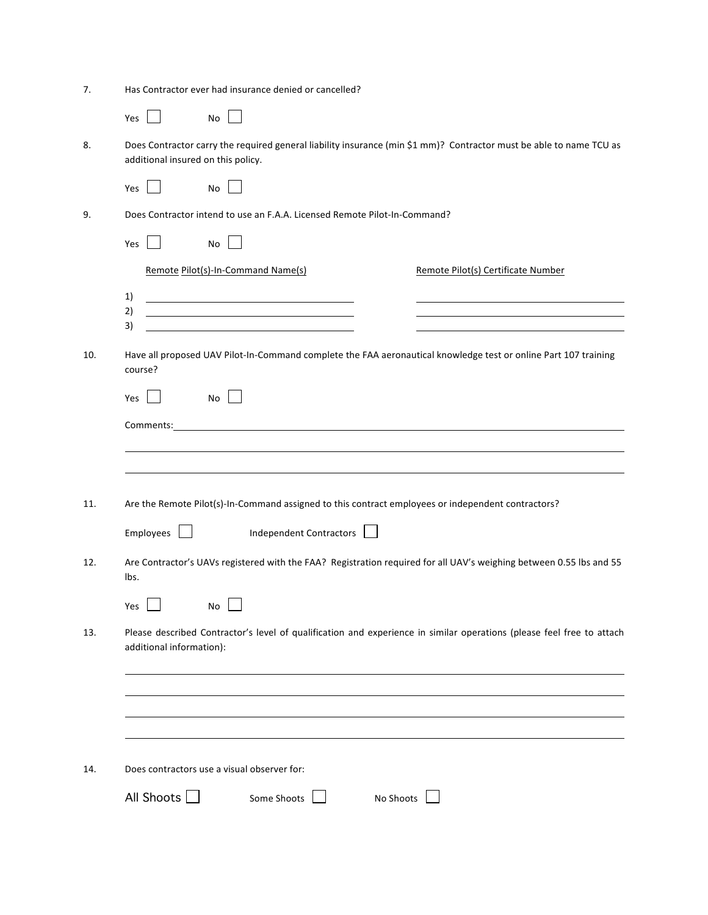| 7.  | Has Contractor ever had insurance denied or cancelled?                                                                                                    |  |  |  |  |  |
|-----|-----------------------------------------------------------------------------------------------------------------------------------------------------------|--|--|--|--|--|
|     | Yes<br>No                                                                                                                                                 |  |  |  |  |  |
| 8.  | Does Contractor carry the required general liability insurance (min \$1 mm)? Contractor must be able to name TCU as<br>additional insured on this policy. |  |  |  |  |  |
|     | Yes<br>No                                                                                                                                                 |  |  |  |  |  |
| 9.  | Does Contractor intend to use an F.A.A. Licensed Remote Pilot-In-Command?                                                                                 |  |  |  |  |  |
|     | Yes<br>No                                                                                                                                                 |  |  |  |  |  |
|     | Remote Pilot(s)-In-Command Name(s)<br>Remote Pilot(s) Certificate Number                                                                                  |  |  |  |  |  |
|     | 1)                                                                                                                                                        |  |  |  |  |  |
|     | 2)<br>3)                                                                                                                                                  |  |  |  |  |  |
| 10. | Have all proposed UAV Pilot-In-Command complete the FAA aeronautical knowledge test or online Part 107 training<br>course?                                |  |  |  |  |  |
|     | No l<br>Yes                                                                                                                                               |  |  |  |  |  |
|     | Comments: <u>comments:</u>                                                                                                                                |  |  |  |  |  |
|     |                                                                                                                                                           |  |  |  |  |  |
| 11. | Are the Remote Pilot(s)-In-Command assigned to this contract employees or independent contractors?                                                        |  |  |  |  |  |
|     | Independent Contractors  <br>Employes                                                                                                                     |  |  |  |  |  |
| 12. | Are Contractor's UAVs registered with the FAA? Registration required for all UAV's weighing between 0.55 lbs and 55<br>lbs.                               |  |  |  |  |  |
|     | Yes $\Box$                                                                                                                                                |  |  |  |  |  |
| 13. | Please described Contractor's level of qualification and experience in similar operations (please feel free to attach<br>additional information):         |  |  |  |  |  |
|     |                                                                                                                                                           |  |  |  |  |  |
|     |                                                                                                                                                           |  |  |  |  |  |
|     |                                                                                                                                                           |  |  |  |  |  |
| 14. | Does contractors use a visual observer for:                                                                                                               |  |  |  |  |  |
|     | All Shoots $\Box$<br>Some Shoots<br>No Shoots                                                                                                             |  |  |  |  |  |
|     |                                                                                                                                                           |  |  |  |  |  |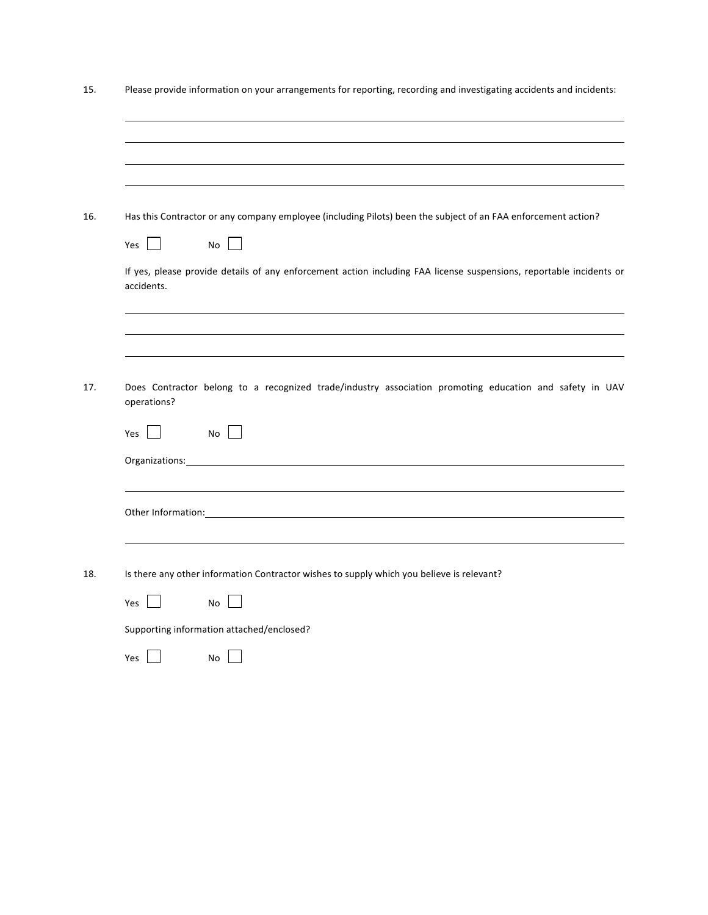| 15. | Please provide information on your arrangements for reporting, recording and investigating accidents and incidents:                                                                                                            |  |  |  |  |  |
|-----|--------------------------------------------------------------------------------------------------------------------------------------------------------------------------------------------------------------------------------|--|--|--|--|--|
|     |                                                                                                                                                                                                                                |  |  |  |  |  |
|     |                                                                                                                                                                                                                                |  |  |  |  |  |
| 16. | Has this Contractor or any company employee (including Pilots) been the subject of an FAA enforcement action?                                                                                                                  |  |  |  |  |  |
|     | Yes<br>No                                                                                                                                                                                                                      |  |  |  |  |  |
|     | If yes, please provide details of any enforcement action including FAA license suspensions, reportable incidents or<br>accidents.                                                                                              |  |  |  |  |  |
|     |                                                                                                                                                                                                                                |  |  |  |  |  |
| 17. | Does Contractor belong to a recognized trade/industry association promoting education and safety in UAV<br>operations?                                                                                                         |  |  |  |  |  |
|     | No<br>Yes                                                                                                                                                                                                                      |  |  |  |  |  |
|     | Organizations:                                                                                                                                                                                                                 |  |  |  |  |  |
|     | Other Information: The contract of the contract of the contract of the contract of the contract of the contract of the contract of the contract of the contract of the contract of the contract of the contract of the contrac |  |  |  |  |  |
| 18. | Is there any other information Contractor wishes to supply which you believe is relevant?                                                                                                                                      |  |  |  |  |  |
|     | Yes<br><b>No</b><br>$\sim$                                                                                                                                                                                                     |  |  |  |  |  |
|     | Supporting information attached/enclosed?                                                                                                                                                                                      |  |  |  |  |  |
|     | Yes<br>No                                                                                                                                                                                                                      |  |  |  |  |  |